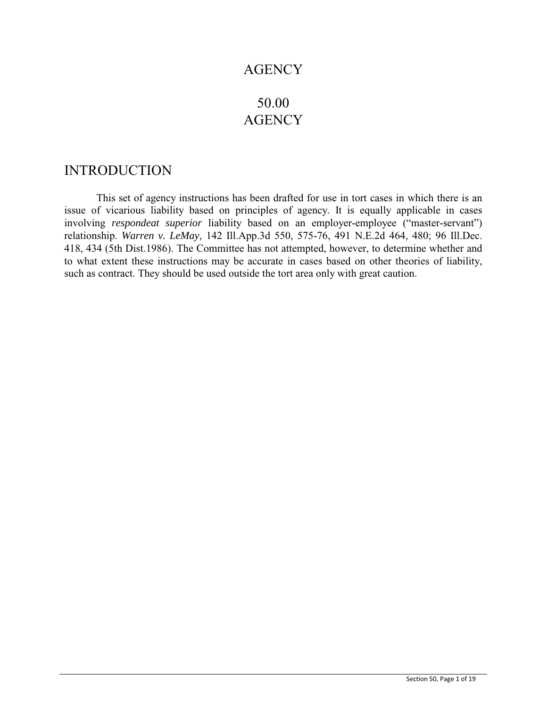# **AGENCY**

# 50.00 **AGENCY**

# INTRODUCTION

This set of agency instructions has been drafted for use in tort cases in which there is an issue of vicarious liability based on principles of agency. It is equally applicable in cases involving *respondeat superior* liability based on an employer-employee ("master-servant") relationship. *Warren v. LeMay*, 142 Ill.App.3d 550, 575-76, 491 N.E.2d 464, 480; 96 Ill.Dec. 418, 434 (5th Dist.1986). The Committee has not attempted, however, to determine whether and to what extent these instructions may be accurate in cases based on other theories of liability, such as contract. They should be used outside the tort area only with great caution.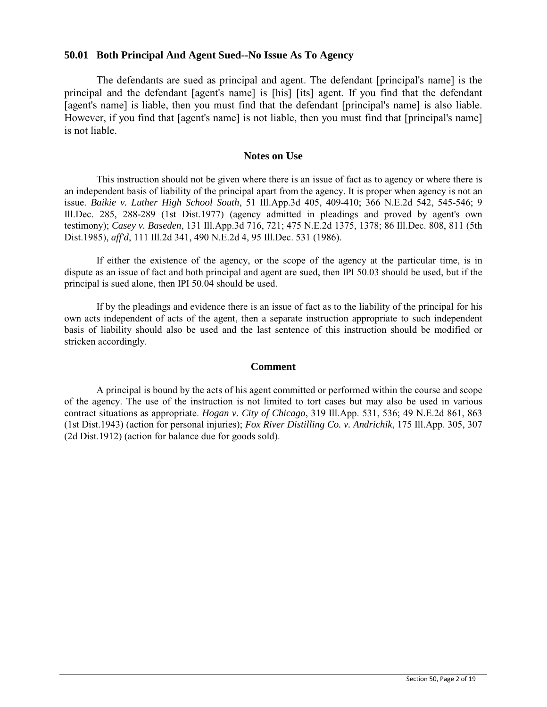### **50.01 Both Principal And Agent Sued--No Issue As To Agency**

The defendants are sued as principal and agent. The defendant [principal's name] is the principal and the defendant [agent's name] is [his] [its] agent. If you find that the defendant [agent's name] is liable, then you must find that the defendant [principal's name] is also liable. However, if you find that [agent's name] is not liable, then you must find that [principal's name] is not liable.

### **Notes on Use**

This instruction should not be given where there is an issue of fact as to agency or where there is an independent basis of liability of the principal apart from the agency. It is proper when agency is not an issue. *Baikie v. Luther High School South*, 51 Ill.App.3d 405, 409-410; 366 N.E.2d 542, 545-546; 9 Ill.Dec. 285, 288-289 (1st Dist.1977) (agency admitted in pleadings and proved by agent's own testimony); *Casey v. Baseden*, 131 Ill.App.3d 716, 721; 475 N.E.2d 1375, 1378; 86 Ill.Dec. 808, 811 (5th Dist.1985), *aff'd*, 111 Ill.2d 341, 490 N.E.2d 4, 95 Ill.Dec. 531 (1986).

If either the existence of the agency, or the scope of the agency at the particular time, is in dispute as an issue of fact and both principal and agent are sued, then IPI 50.03 should be used, but if the principal is sued alone, then IPI 50.04 should be used.

If by the pleadings and evidence there is an issue of fact as to the liability of the principal for his own acts independent of acts of the agent, then a separate instruction appropriate to such independent basis of liability should also be used and the last sentence of this instruction should be modified or stricken accordingly.

### **Comment**

 A principal is bound by the acts of his agent committed or performed within the course and scope of the agency. The use of the instruction is not limited to tort cases but may also be used in various contract situations as appropriate. *Hogan v. City of Chicago*, 319 Ill.App. 531, 536; 49 N.E.2d 861, 863 (1st Dist.1943) (action for personal injuries); *Fox River Distilling Co. v. Andrichik*, 175 Ill.App. 305, 307 (2d Dist.1912) (action for balance due for goods sold).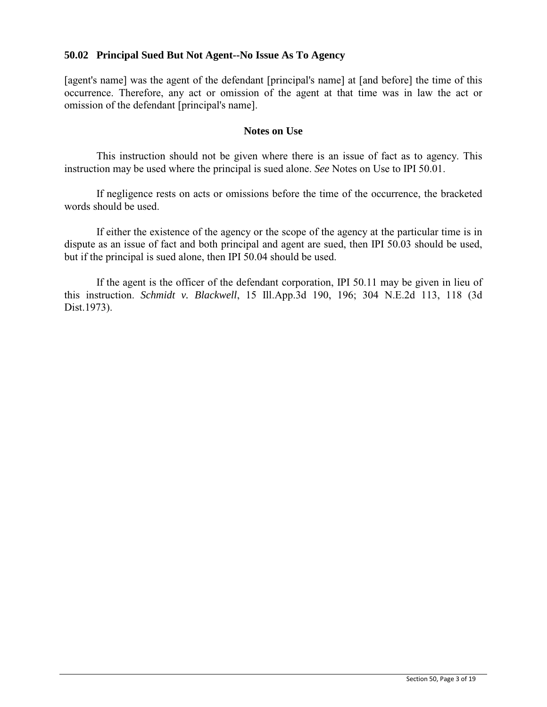### **50.02 Principal Sued But Not Agent--No Issue As To Agency**

[agent's name] was the agent of the defendant [principal's name] at [and before] the time of this occurrence. Therefore, any act or omission of the agent at that time was in law the act or omission of the defendant [principal's name].

### **Notes on Use**

This instruction should not be given where there is an issue of fact as to agency. This instruction may be used where the principal is sued alone. *See* Notes on Use to IPI 50.01.

If negligence rests on acts or omissions before the time of the occurrence, the bracketed words should be used.

If either the existence of the agency or the scope of the agency at the particular time is in dispute as an issue of fact and both principal and agent are sued, then IPI 50.03 should be used, but if the principal is sued alone, then IPI 50.04 should be used.

If the agent is the officer of the defendant corporation, IPI 50.11 may be given in lieu of this instruction. *Schmidt v. Blackwell*, 15 Ill.App.3d 190, 196; 304 N.E.2d 113, 118 (3d Dist.1973).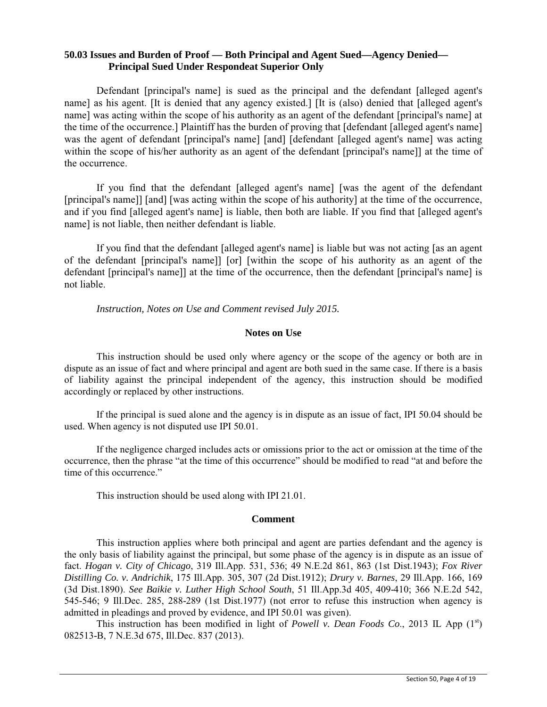### **50.03 Issues and Burden of Proof — Both Principal and Agent Sued—Agency Denied— Principal Sued Under Respondeat Superior Only**

Defendant [principal's name] is sued as the principal and the defendant [alleged agent's name] as his agent. [It is denied that any agency existed.] [It is (also) denied that [alleged agent's name] was acting within the scope of his authority as an agent of the defendant [principal's name] at the time of the occurrence.] Plaintiff has the burden of proving that [defendant [alleged agent's name] was the agent of defendant [principal's name] [and] [defendant [alleged agent's name] was acting within the scope of his/her authority as an agent of the defendant [principal's name]] at the time of the occurrence.

If you find that the defendant [alleged agent's name] [was the agent of the defendant [principal's name]] [and] [was acting within the scope of his authority] at the time of the occurrence, and if you find [alleged agent's name] is liable, then both are liable. If you find that [alleged agent's name] is not liable, then neither defendant is liable.

If you find that the defendant [alleged agent's name] is liable but was not acting [as an agent of the defendant [principal's name]] [or] [within the scope of his authority as an agent of the defendant [principal's name]] at the time of the occurrence, then the defendant [principal's name] is not liable.

*Instruction, Notes on Use and Comment revised July 2015.* 

#### **Notes on Use**

This instruction should be used only where agency or the scope of the agency or both are in dispute as an issue of fact and where principal and agent are both sued in the same case. If there is a basis of liability against the principal independent of the agency, this instruction should be modified accordingly or replaced by other instructions.

If the principal is sued alone and the agency is in dispute as an issue of fact, IPI 50.04 should be used. When agency is not disputed use IPI 50.01.

If the negligence charged includes acts or omissions prior to the act or omission at the time of the occurrence, then the phrase "at the time of this occurrence" should be modified to read "at and before the time of this occurrence."

This instruction should be used along with IPI 21.01.

#### **Comment**

This instruction applies where both principal and agent are parties defendant and the agency is the only basis of liability against the principal, but some phase of the agency is in dispute as an issue of fact. *Hogan v. City of Chicago*, 319 Ill.App. 531, 536; 49 N.E.2d 861, 863 (1st Dist.1943); *Fox River Distilling Co. v. Andrichik*, 175 Ill.App. 305, 307 (2d Dist.1912); *Drury v. Barnes*, 29 Ill.App. 166, 169 (3d Dist.1890). *See Baikie v. Luther High School South*, 51 Ill.App.3d 405, 409-410; 366 N.E.2d 542, 545-546; 9 Ill.Dec. 285, 288-289 (1st Dist.1977) (not error to refuse this instruction when agency is admitted in pleadings and proved by evidence, and IPI 50.01 was given).

This instruction has been modified in light of *Powell v. Dean Foods Co.*, 2013 IL App  $(1^{st})$ 082513-B, 7 N.E.3d 675, Ill.Dec. 837 (2013).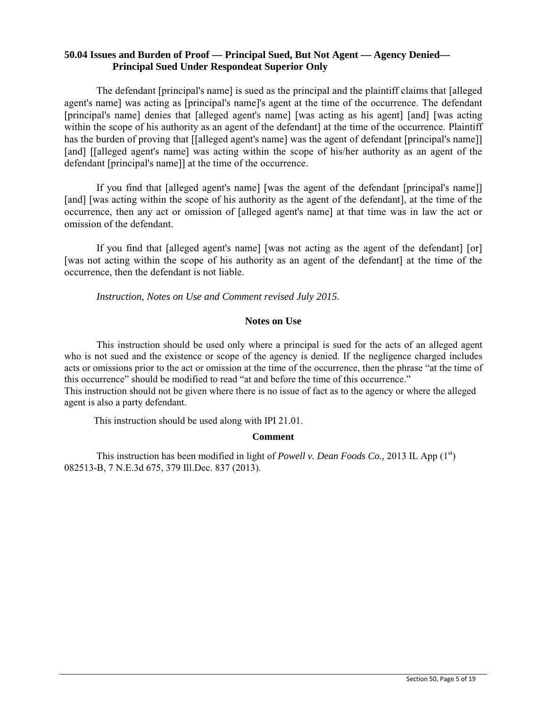### **50.04 Issues and Burden of Proof — Principal Sued, But Not Agent — Agency Denied— Principal Sued Under Respondeat Superior Only**

The defendant [principal's name] is sued as the principal and the plaintiff claims that [alleged agent's name] was acting as [principal's name]'s agent at the time of the occurrence. The defendant [principal's name] denies that [alleged agent's name] [was acting as his agent] [and] [was acting within the scope of his authority as an agent of the defendant] at the time of the occurrence. Plaintiff has the burden of proving that [[alleged agent's name] was the agent of defendant [principal's name]] [and] [[alleged agent's name] was acting within the scope of his/her authority as an agent of the defendant [principal's name]] at the time of the occurrence.

If you find that [alleged agent's name] [was the agent of the defendant [principal's name]] [and] [was acting within the scope of his authority as the agent of the defendant], at the time of the occurrence, then any act or omission of [alleged agent's name] at that time was in law the act or omission of the defendant.

If you find that [alleged agent's name] [was not acting as the agent of the defendant] [or] [was not acting within the scope of his authority as an agent of the defendant] at the time of the occurrence, then the defendant is not liable.

*Instruction, Notes on Use and Comment revised July 2015.* 

#### **Notes on Use**

This instruction should be used only where a principal is sued for the acts of an alleged agent who is not sued and the existence or scope of the agency is denied. If the negligence charged includes acts or omissions prior to the act or omission at the time of the occurrence, then the phrase "at the time of this occurrence" should be modified to read "at and before the time of this occurrence." This instruction should not be given where there is no issue of fact as to the agency or where the alleged agent is also a party defendant.

This instruction should be used along with IPI 21.01.

### **Comment**

This instruction has been modified in light of *Powell v. Dean Foods Co.*, 2013 IL App (1<sup>st</sup>) 082513-B, 7 N.E.3d 675, 379 Ill.Dec. 837 (2013).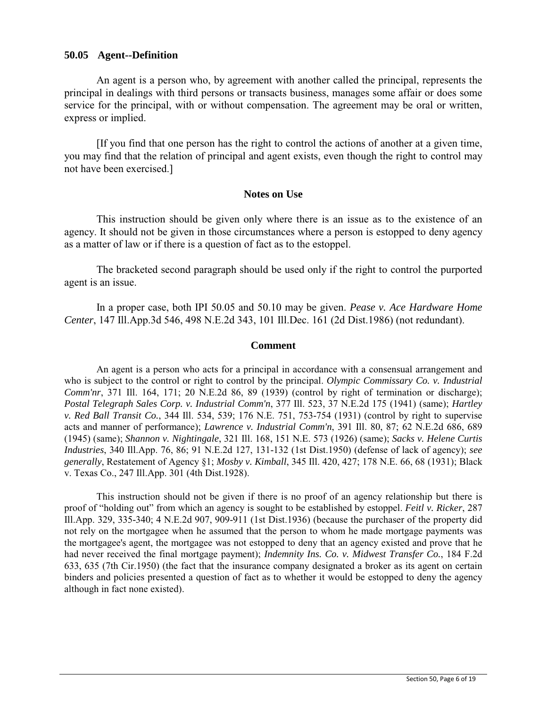### **50.05 Agent--Definition**

An agent is a person who, by agreement with another called the principal, represents the principal in dealings with third persons or transacts business, manages some affair or does some service for the principal, with or without compensation. The agreement may be oral or written, express or implied.

[If you find that one person has the right to control the actions of another at a given time, you may find that the relation of principal and agent exists, even though the right to control may not have been exercised.]

### **Notes on Use**

This instruction should be given only where there is an issue as to the existence of an agency. It should not be given in those circumstances where a person is estopped to deny agency as a matter of law or if there is a question of fact as to the estoppel.

The bracketed second paragraph should be used only if the right to control the purported agent is an issue.

In a proper case, both IPI 50.05 and 50.10 may be given. *Pease v. Ace Hardware Home Center*, 147 Ill.App.3d 546, 498 N.E.2d 343, 101 Ill.Dec. 161 (2d Dist.1986) (not redundant).

### **Comment**

An agent is a person who acts for a principal in accordance with a consensual arrangement and who is subject to the control or right to control by the principal. *Olympic Commissary Co. v. Industrial Comm'nr*, 371 Ill. 164, 171; 20 N.E.2d 86, 89 (1939) (control by right of termination or discharge); *Postal Telegraph Sales Corp. v. Industrial Comm'n*, 377 Ill. 523, 37 N.E.2d 175 (1941) (same); *Hartley v. Red Ball Transit Co.*, 344 Ill. 534, 539; 176 N.E. 751, 753-754 (1931) (control by right to supervise acts and manner of performance); *Lawrence v. Industrial Comm'n*, 391 Ill. 80, 87; 62 N.E.2d 686, 689 (1945) (same); *Shannon v. Nightingale*, 321 Ill. 168, 151 N.E. 573 (1926) (same); *Sacks v. Helene Curtis Industries*, 340 Ill.App. 76, 86; 91 N.E.2d 127, 131-132 (1st Dist.1950) (defense of lack of agency); *see generally*, Restatement of Agency §1; *Mosby v. Kimball*, 345 Ill. 420, 427; 178 N.E. 66, 68 (1931); Black v. Texas Co., 247 Ill.App. 301 (4th Dist.1928).

This instruction should not be given if there is no proof of an agency relationship but there is proof of "holding out" from which an agency is sought to be established by estoppel. *Feitl v. Ricker*, 287 Ill.App. 329, 335-340; 4 N.E.2d 907, 909-911 (1st Dist.1936) (because the purchaser of the property did not rely on the mortgagee when he assumed that the person to whom he made mortgage payments was the mortgagee's agent, the mortgagee was not estopped to deny that an agency existed and prove that he had never received the final mortgage payment); *Indemnity Ins. Co. v. Midwest Transfer Co.*, 184 F.2d 633, 635 (7th Cir.1950) (the fact that the insurance company designated a broker as its agent on certain binders and policies presented a question of fact as to whether it would be estopped to deny the agency although in fact none existed).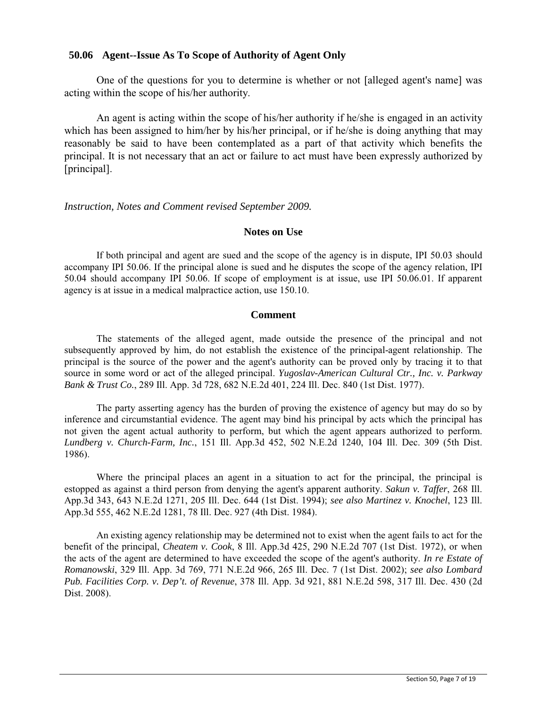### **50.06 Agent--Issue As To Scope of Authority of Agent Only**

One of the questions for you to determine is whether or not [alleged agent's name] was acting within the scope of his/her authority.

An agent is acting within the scope of his/her authority if he/she is engaged in an activity which has been assigned to him/her by his/her principal, or if he/she is doing anything that may reasonably be said to have been contemplated as a part of that activity which benefits the principal. It is not necessary that an act or failure to act must have been expressly authorized by [principal].

*Instruction, Notes and Comment revised September 2009.* 

### **Notes on Use**

If both principal and agent are sued and the scope of the agency is in dispute, IPI 50.03 should accompany IPI 50.06. If the principal alone is sued and he disputes the scope of the agency relation, IPI 50.04 should accompany IPI 50.06. If scope of employment is at issue, use IPI 50.06.01. If apparent agency is at issue in a medical malpractice action, use 150.10.

### **Comment**

The statements of the alleged agent, made outside the presence of the principal and not subsequently approved by him, do not establish the existence of the principal-agent relationship. The principal is the source of the power and the agent's authority can be proved only by tracing it to that source in some word or act of the alleged principal. *Yugoslav-American Cultural Ctr., Inc. v. Parkway Bank & Trust Co.*, 289 Ill. App. 3d 728, 682 N.E.2d 401, 224 Ill. Dec. 840 (1st Dist. 1977).

The party asserting agency has the burden of proving the existence of agency but may do so by inference and circumstantial evidence. The agent may bind his principal by acts which the principal has not given the agent actual authority to perform, but which the agent appears authorized to perform. *Lundberg v. Church-Farm, Inc.*, 151 Ill. App.3d 452, 502 N.E.2d 1240, 104 Ill. Dec. 309 (5th Dist. 1986).

Where the principal places an agent in a situation to act for the principal, the principal is estopped as against a third person from denying the agent's apparent authority. *Sakun v. Taffer*, 268 Ill. App.3d 343, 643 N.E.2d 1271, 205 Ill. Dec. 644 (1st Dist. 1994); *see also Martinez v. Knochel*, 123 Ill. App.3d 555, 462 N.E.2d 1281, 78 Ill. Dec. 927 (4th Dist. 1984).

An existing agency relationship may be determined not to exist when the agent fails to act for the benefit of the principal, *Cheatem v. Cook*, 8 Ill. App.3d 425, 290 N.E.2d 707 (1st Dist. 1972), or when the acts of the agent are determined to have exceeded the scope of the agent's authority. *In re Estate of Romanowski*, 329 Ill. App. 3d 769, 771 N.E.2d 966, 265 Ill. Dec. 7 (1st Dist. 2002); *see also Lombard Pub. Facilities Corp. v. Dep't. of Revenue*, 378 Ill. App. 3d 921, 881 N.E.2d 598, 317 Ill. Dec. 430 (2d Dist. 2008).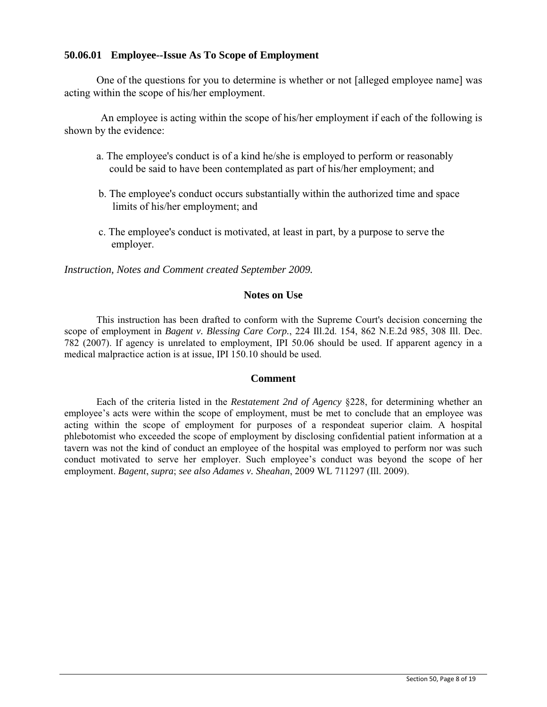### **50.06.01 Employee--Issue As To Scope of Employment**

One of the questions for you to determine is whether or not [alleged employee name] was acting within the scope of his/her employment.

 An employee is acting within the scope of his/her employment if each of the following is shown by the evidence:

- a. The employee's conduct is of a kind he/she is employed to perform or reasonably could be said to have been contemplated as part of his/her employment; and
- b. The employee's conduct occurs substantially within the authorized time and space limits of his/her employment; and
- c. The employee's conduct is motivated, at least in part, by a purpose to serve the employer.

*Instruction, Notes and Comment created September 2009.* 

### **Notes on Use**

This instruction has been drafted to conform with the Supreme Court's decision concerning the scope of employment in *Bagent v. Blessing Care Corp.*, 224 Ill.2d. 154, 862 N.E.2d 985, 308 Ill. Dec. 782 (2007). If agency is unrelated to employment, IPI 50.06 should be used. If apparent agency in a medical malpractice action is at issue, IPI 150.10 should be used.

### **Comment**

Each of the criteria listed in the *Restatement 2nd of Agency* §228, for determining whether an employee's acts were within the scope of employment, must be met to conclude that an employee was acting within the scope of employment for purposes of a respondeat superior claim. A hospital phlebotomist who exceeded the scope of employment by disclosing confidential patient information at a tavern was not the kind of conduct an employee of the hospital was employed to perform nor was such conduct motivated to serve her employer. Such employee's conduct was beyond the scope of her employment. *Bagent*, *supra*; *see also Adames v. Sheahan*, 2009 WL 711297 (Ill. 2009).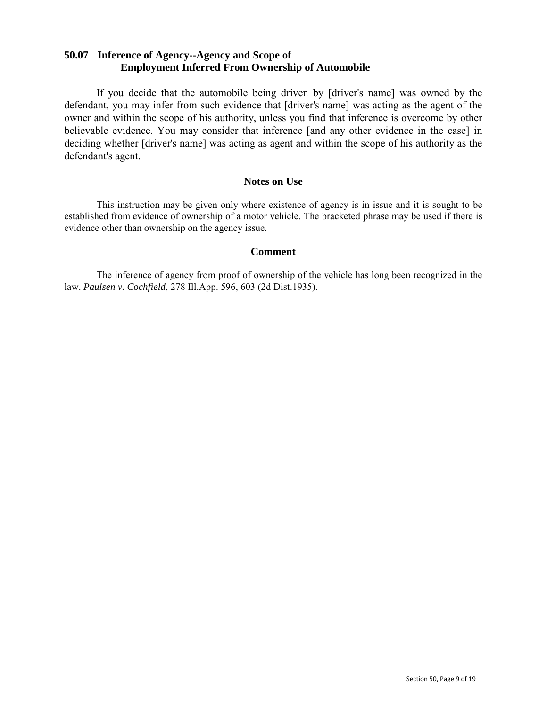## **50.07 Inference of Agency--Agency and Scope of Employment Inferred From Ownership of Automobile**

If you decide that the automobile being driven by [driver's name] was owned by the defendant, you may infer from such evidence that [driver's name] was acting as the agent of the owner and within the scope of his authority, unless you find that inference is overcome by other believable evidence. You may consider that inference [and any other evidence in the case] in deciding whether [driver's name] was acting as agent and within the scope of his authority as the defendant's agent.

### **Notes on Use**

This instruction may be given only where existence of agency is in issue and it is sought to be established from evidence of ownership of a motor vehicle. The bracketed phrase may be used if there is evidence other than ownership on the agency issue.

### **Comment**

The inference of agency from proof of ownership of the vehicle has long been recognized in the law. *Paulsen v. Cochfield*, 278 Ill.App. 596, 603 (2d Dist.1935).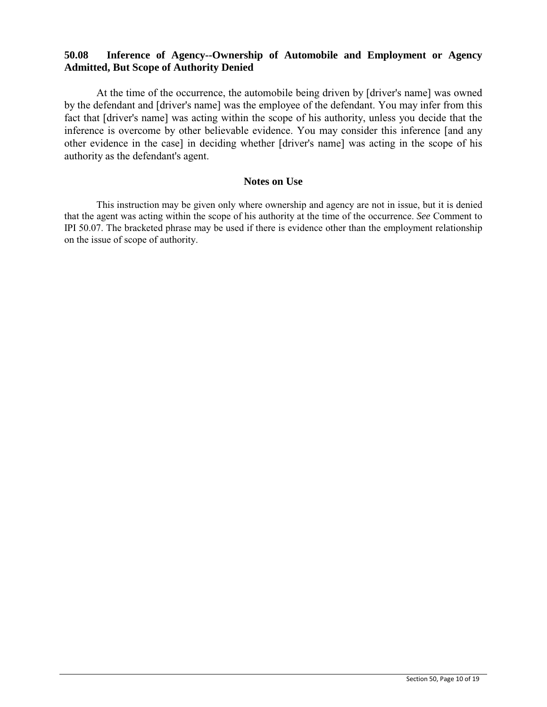## **50.08 Inference of Agency--Ownership of Automobile and Employment or Agency Admitted, But Scope of Authority Denied**

At the time of the occurrence, the automobile being driven by [driver's name] was owned by the defendant and [driver's name] was the employee of the defendant. You may infer from this fact that [driver's name] was acting within the scope of his authority, unless you decide that the inference is overcome by other believable evidence. You may consider this inference [and any other evidence in the case] in deciding whether [driver's name] was acting in the scope of his authority as the defendant's agent.

#### **Notes on Use**

This instruction may be given only where ownership and agency are not in issue, but it is denied that the agent was acting within the scope of his authority at the time of the occurrence. *See* Comment to IPI 50.07. The bracketed phrase may be used if there is evidence other than the employment relationship on the issue of scope of authority.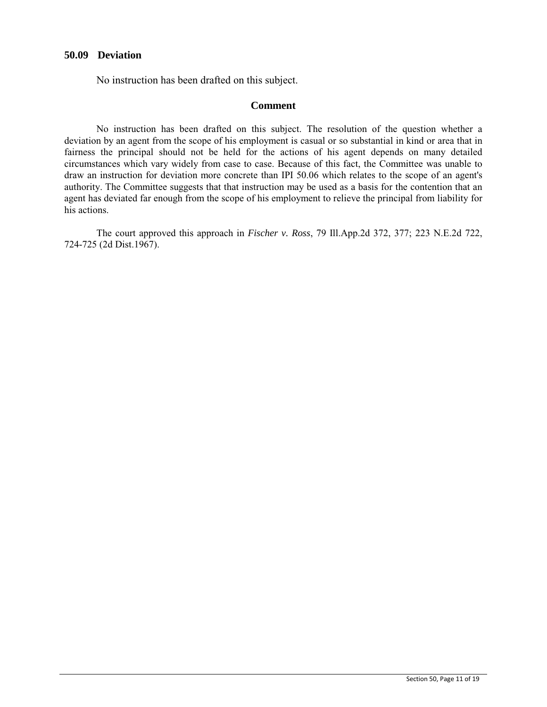### **50.09 Deviation**

No instruction has been drafted on this subject.

### **Comment**

No instruction has been drafted on this subject. The resolution of the question whether a deviation by an agent from the scope of his employment is casual or so substantial in kind or area that in fairness the principal should not be held for the actions of his agent depends on many detailed circumstances which vary widely from case to case. Because of this fact, the Committee was unable to draw an instruction for deviation more concrete than IPI 50.06 which relates to the scope of an agent's authority. The Committee suggests that that instruction may be used as a basis for the contention that an agent has deviated far enough from the scope of his employment to relieve the principal from liability for his actions.

The court approved this approach in *Fischer v. Ross*, 79 Ill.App.2d 372, 377; 223 N.E.2d 722, 724-725 (2d Dist.1967).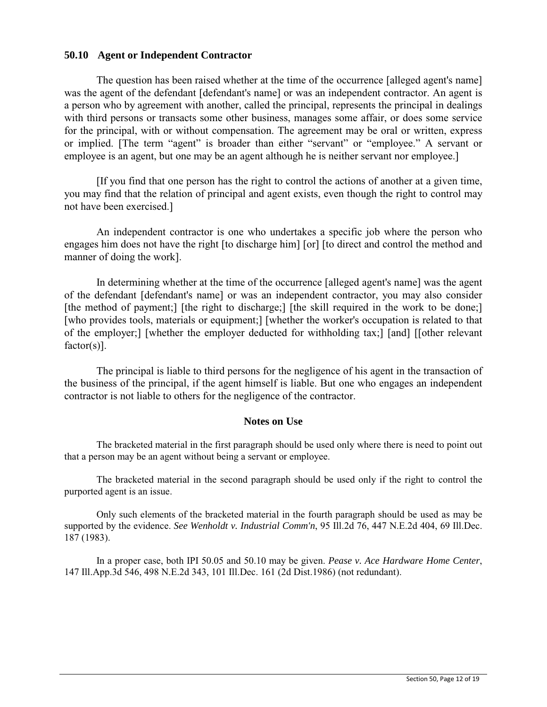### **50.10 Agent or Independent Contractor**

The question has been raised whether at the time of the occurrence [alleged agent's name] was the agent of the defendant [defendant's name] or was an independent contractor. An agent is a person who by agreement with another, called the principal, represents the principal in dealings with third persons or transacts some other business, manages some affair, or does some service for the principal, with or without compensation. The agreement may be oral or written, express or implied. [The term "agent" is broader than either "servant" or "employee." A servant or employee is an agent, but one may be an agent although he is neither servant nor employee.]

[If you find that one person has the right to control the actions of another at a given time, you may find that the relation of principal and agent exists, even though the right to control may not have been exercised.]

An independent contractor is one who undertakes a specific job where the person who engages him does not have the right [to discharge him] [or] [to direct and control the method and manner of doing the work].

In determining whether at the time of the occurrence [alleged agent's name] was the agent of the defendant [defendant's name] or was an independent contractor, you may also consider [the method of payment;] [the right to discharge;] [the skill required in the work to be done;] [who provides tools, materials or equipment;] [whether the worker's occupation is related to that of the employer;] [whether the employer deducted for withholding tax;] [and] [[other relevant factor(s)].

The principal is liable to third persons for the negligence of his agent in the transaction of the business of the principal, if the agent himself is liable. But one who engages an independent contractor is not liable to others for the negligence of the contractor.

### **Notes on Use**

The bracketed material in the first paragraph should be used only where there is need to point out that a person may be an agent without being a servant or employee.

The bracketed material in the second paragraph should be used only if the right to control the purported agent is an issue.

Only such elements of the bracketed material in the fourth paragraph should be used as may be supported by the evidence. *See Wenholdt v. Industrial Comm'n*, 95 Ill.2d 76, 447 N.E.2d 404, 69 Ill.Dec. 187 (1983).

In a proper case, both IPI 50.05 and 50.10 may be given. *Pease v. Ace Hardware Home Center*, 147 Ill.App.3d 546, 498 N.E.2d 343, 101 Ill.Dec. 161 (2d Dist.1986) (not redundant).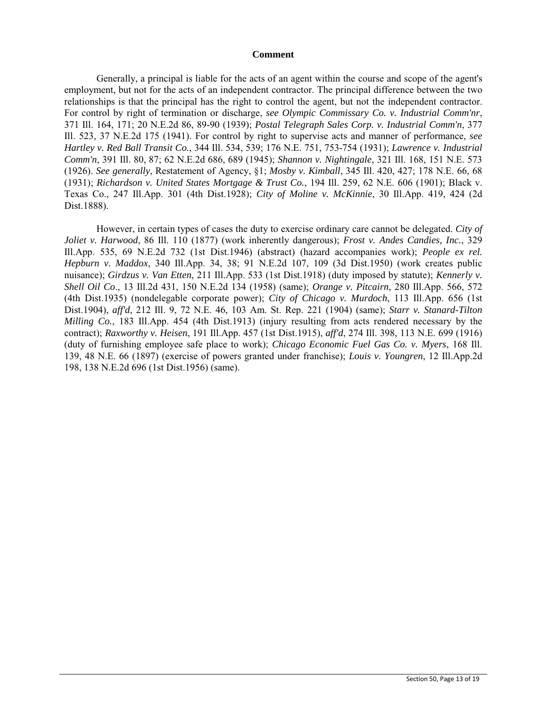#### **Comment**

Generally, a principal is liable for the acts of an agent within the course and scope of the agent's employment, but not for the acts of an independent contractor. The principal difference between the two relationships is that the principal has the right to control the agent, but not the independent contractor. For control by right of termination or discharge, *see Olympic Commissary Co. v. Industrial Comm'nr*, 371 Ill. 164, 171; 20 N.E.2d 86, 89-90 (1939); *Postal Telegraph Sales Corp. v. Industrial Comm'n*, 377 Ill. 523, 37 N.E.2d 175 (1941). For control by right to supervise acts and manner of performance, *see Hartley v. Red Ball Transit Co.*, 344 Ill. 534, 539; 176 N.E. 751, 753-754 (1931); *Lawrence v. Industrial Comm'n*, 391 Ill. 80, 87; 62 N.E.2d 686, 689 (1945); *Shannon v. Nightingale*, 321 Ill. 168, 151 N.E. 573 (1926). *See generally*, Restatement of Agency, §1; *Mosby v. Kimball*, 345 Ill. 420, 427; 178 N.E. 66, 68 (1931); *Richardson v. United States Mortgage & Trust Co.*, 194 Ill. 259, 62 N.E. 606 (1901); Black v. Texas Co., 247 Ill.App. 301 (4th Dist.1928); *City of Moline v. McKinnie*, 30 Ill.App. 419, 424 (2d Dist.1888).

However, in certain types of cases the duty to exercise ordinary care cannot be delegated. *City of Joliet v. Harwood*, 86 Ill. 110 (1877) (work inherently dangerous); *Frost v. Andes Candies, Inc.*, 329 Ill.App. 535, 69 N.E.2d 732 (1st Dist.1946) (abstract) (hazard accompanies work); *People ex rel. Hepburn v. Maddox*, 340 Ill.App. 34, 38; 91 N.E.2d 107, 109 (3d Dist.1950) (work creates public nuisance); *Girdzus v. Van Etten*, 211 Ill.App. 533 (1st Dist.1918) (duty imposed by statute); *Kennerly v. Shell Oil Co*., 13 Ill.2d 431, 150 N.E.2d 134 (1958) (same); *Orange v. Pitcairn*, 280 Ill.App. 566, 572 (4th Dist.1935) (nondelegable corporate power); *City of Chicago v. Murdoch*, 113 Ill.App. 656 (1st Dist.1904), *aff'd*, 212 Ill. 9, 72 N.E. 46, 103 Am. St. Rep. 221 (1904) (same); *Starr v. Stanard-Tilton Milling Co.*, 183 Ill.App. 454 (4th Dist.1913) (injury resulting from acts rendered necessary by the contract); *Raxworthy v. Heisen*, 191 Ill.App. 457 (1st Dist.1915), *aff'd*, 274 Ill. 398, 113 N.E. 699 (1916) (duty of furnishing employee safe place to work); *Chicago Economic Fuel Gas Co. v. Myers*, 168 Ill. 139, 48 N.E. 66 (1897) (exercise of powers granted under franchise); *Louis v. Youngren*, 12 Ill.App.2d 198, 138 N.E.2d 696 (1st Dist.1956) (same).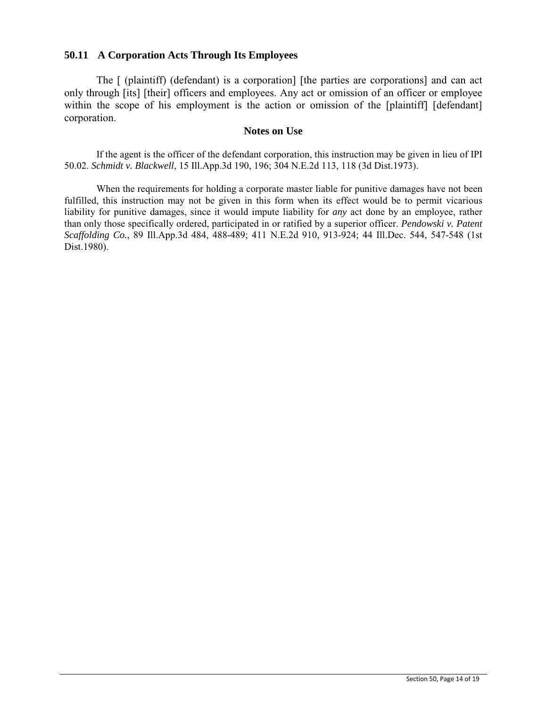### **50.11 A Corporation Acts Through Its Employees**

The [ (plaintiff) (defendant) is a corporation] [the parties are corporations] and can act only through [its] [their] officers and employees. Any act or omission of an officer or employee within the scope of his employment is the action or omission of the [plaintiff] [defendant] corporation.

### **Notes on Use**

If the agent is the officer of the defendant corporation, this instruction may be given in lieu of IPI 50.02. *Schmidt v. Blackwell*, 15 Ill.App.3d 190, 196; 304 N.E.2d 113, 118 (3d Dist.1973).

When the requirements for holding a corporate master liable for punitive damages have not been fulfilled, this instruction may not be given in this form when its effect would be to permit vicarious liability for punitive damages, since it would impute liability for *any* act done by an employee, rather than only those specifically ordered, participated in or ratified by a superior officer. *Pendowski v. Patent Scaffolding Co.*, 89 Ill.App.3d 484, 488-489; 411 N.E.2d 910, 913-924; 44 Ill.Dec. 544, 547-548 (1st Dist.1980).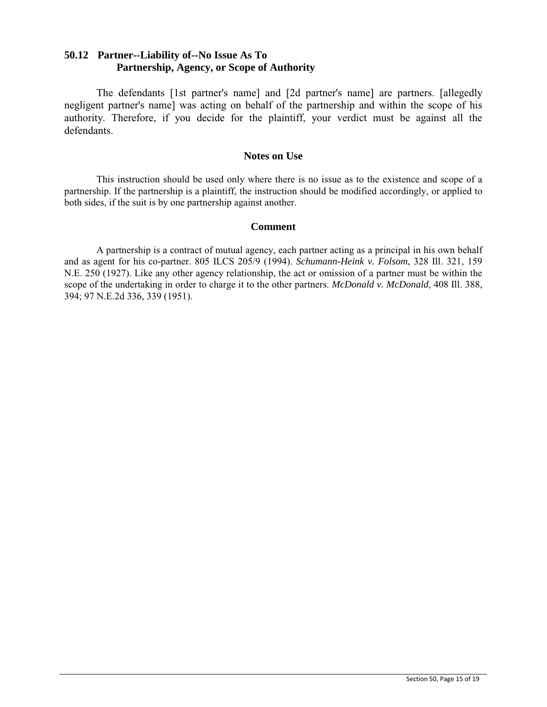## **50.12 Partner--Liability of--No Issue As To Partnership, Agency, or Scope of Authority**

The defendants [1st partner's name] and [2d partner's name] are partners. [allegedly negligent partner's name] was acting on behalf of the partnership and within the scope of his authority. Therefore, if you decide for the plaintiff, your verdict must be against all the defendants.

### **Notes on Use**

This instruction should be used only where there is no issue as to the existence and scope of a partnership. If the partnership is a plaintiff, the instruction should be modified accordingly, or applied to both sides, if the suit is by one partnership against another.

### **Comment**

A partnership is a contract of mutual agency, each partner acting as a principal in his own behalf and as agent for his co-partner. 805 ILCS 205/9 (1994). *Schumann-Heink v. Folsom*, 328 Ill. 321, 159 N.E. 250 (1927). Like any other agency relationship, the act or omission of a partner must be within the scope of the undertaking in order to charge it to the other partners. *McDonald v. McDonald*, 408 Ill. 388, 394; 97 N.E.2d 336, 339 (1951).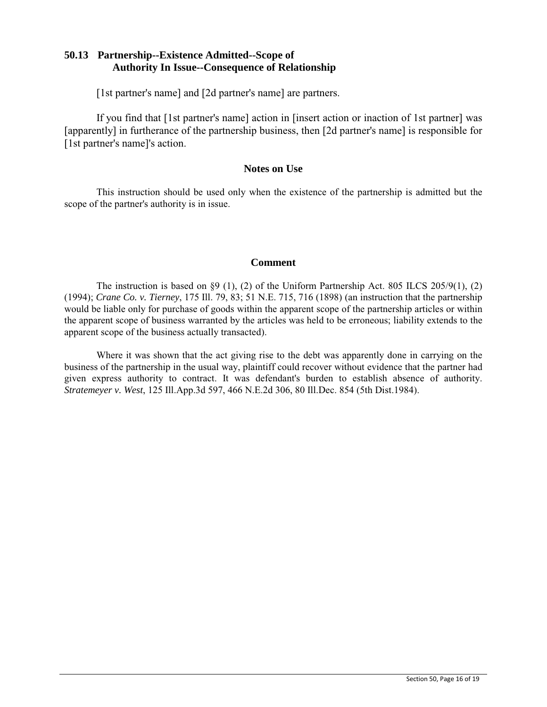## **50.13 Partnership--Existence Admitted--Scope of Authority In Issue--Consequence of Relationship**

[1st partner's name] and [2d partner's name] are partners.

If you find that [1st partner's name] action in [insert action or inaction of 1st partner] was [apparently] in furtherance of the partnership business, then [2d partner's name] is responsible for [1st partner's name]'s action.

### **Notes on Use**

This instruction should be used only when the existence of the partnership is admitted but the scope of the partner's authority is in issue.

### **Comment**

The instruction is based on §9 (1), (2) of the Uniform Partnership Act. 805 ILCS 205/9(1), (2) (1994); *Crane Co. v. Tierney*, 175 Ill. 79, 83; 51 N.E. 715, 716 (1898) (an instruction that the partnership would be liable only for purchase of goods within the apparent scope of the partnership articles or within the apparent scope of business warranted by the articles was held to be erroneous; liability extends to the apparent scope of the business actually transacted).

Where it was shown that the act giving rise to the debt was apparently done in carrying on the business of the partnership in the usual way, plaintiff could recover without evidence that the partner had given express authority to contract. It was defendant's burden to establish absence of authority. *Stratemeyer v. West*, 125 Ill.App.3d 597, 466 N.E.2d 306, 80 Ill.Dec. 854 (5th Dist.1984).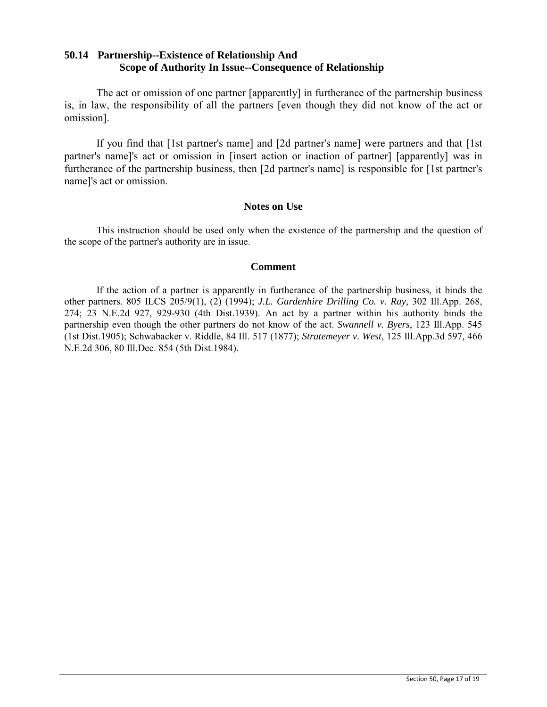## **50.14 Partnership--Existence of Relationship And Scope of Authority In Issue--Consequence of Relationship**

The act or omission of one partner [apparently] in furtherance of the partnership business is, in law, the responsibility of all the partners [even though they did not know of the act or omission].

If you find that [1st partner's name] and [2d partner's name] were partners and that [1st partner's name]'s act or omission in [insert action or inaction of partner] [apparently] was in furtherance of the partnership business, then [2d partner's name] is responsible for [1st partner's name]'s act or omission.

### **Notes on Use**

This instruction should be used only when the existence of the partnership and the question of the scope of the partner's authority are in issue.

### **Comment**

If the action of a partner is apparently in furtherance of the partnership business, it binds the other partners. 805 ILCS 205/9(1), (2) (1994); *J.L. Gardenhire Drilling Co. v. Ray*, 302 Ill.App. 268, 274; 23 N.E.2d 927, 929-930 (4th Dist.1939). An act by a partner within his authority binds the partnership even though the other partners do not know of the act. *Swannell v. Byers*, 123 Ill.App. 545 (1st Dist.1905); Schwabacker v. Riddle, 84 Ill. 517 (1877); *Stratemeyer v. West*, 125 Ill.App.3d 597, 466 N.E.2d 306, 80 Ill.Dec. 854 (5th Dist.1984).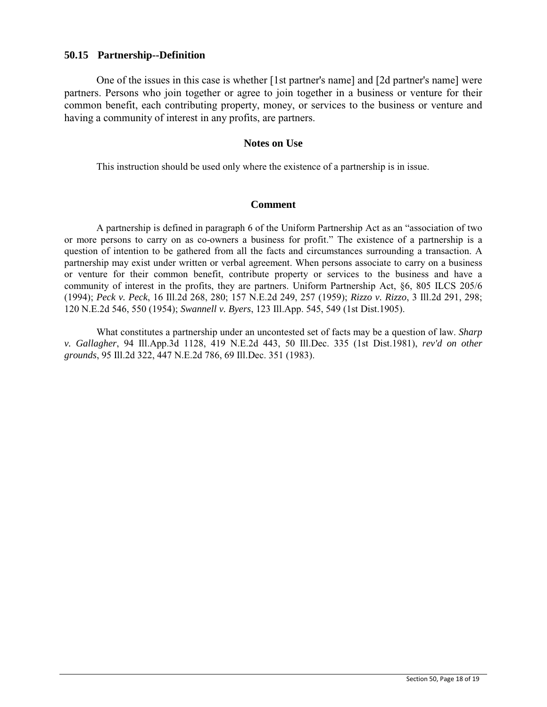### **50.15 Partnership--Definition**

One of the issues in this case is whether [1st partner's name] and [2d partner's name] were partners. Persons who join together or agree to join together in a business or venture for their common benefit, each contributing property, money, or services to the business or venture and having a community of interest in any profits, are partners.

#### **Notes on Use**

This instruction should be used only where the existence of a partnership is in issue.

### **Comment**

A partnership is defined in paragraph 6 of the Uniform Partnership Act as an "association of two or more persons to carry on as co-owners a business for profit." The existence of a partnership is a question of intention to be gathered from all the facts and circumstances surrounding a transaction. A partnership may exist under written or verbal agreement. When persons associate to carry on a business or venture for their common benefit, contribute property or services to the business and have a community of interest in the profits, they are partners. Uniform Partnership Act, §6, 805 ILCS 205/6 (1994); *Peck v. Peck*, 16 Ill.2d 268, 280; 157 N.E.2d 249, 257 (1959); *Rizzo v. Rizzo*, 3 Ill.2d 291, 298; 120 N.E.2d 546, 550 (1954); *Swannell v. Byers*, 123 Ill.App. 545, 549 (1st Dist.1905).

What constitutes a partnership under an uncontested set of facts may be a question of law. *Sharp v. Gallagher*, 94 Ill.App.3d 1128, 419 N.E.2d 443, 50 Ill.Dec. 335 (1st Dist.1981), *rev'd on other grounds*, 95 Ill.2d 322, 447 N.E.2d 786, 69 Ill.Dec. 351 (1983).